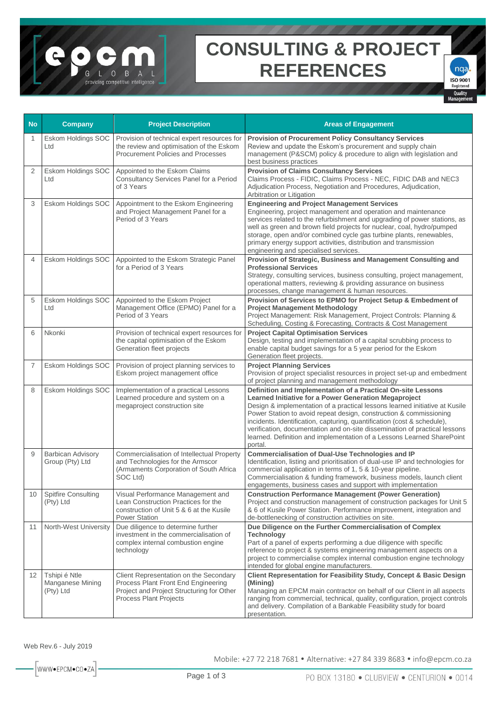## **CONSULTING & PROJECT REFERENCES**

**ISO 9001** Registered Quality

 $nqa$ 

| <b>No</b>      | <b>Company</b>                                        | <b>Project Description</b>                                                                                                                           | <b>Areas of Engagement</b>                                                                                                                                                                                                                                                                                                                                                                                                                                                                                               |
|----------------|-------------------------------------------------------|------------------------------------------------------------------------------------------------------------------------------------------------------|--------------------------------------------------------------------------------------------------------------------------------------------------------------------------------------------------------------------------------------------------------------------------------------------------------------------------------------------------------------------------------------------------------------------------------------------------------------------------------------------------------------------------|
| 1              | Eskom Holdings SOC<br>Ltd                             | Provision of technical expert resources for<br>the review and optimisation of the Eskom<br>Procurement Policies and Processes                        | <b>Provision of Procurement Policy Consultancy Services</b><br>Review and update the Eskom's procurement and supply chain<br>management (P&SCM) policy & procedure to align with legislation and<br>best business practices                                                                                                                                                                                                                                                                                              |
| $\overline{2}$ | Eskom Holdings SOC<br>Ltd                             | Appointed to the Eskom Claims<br>Consultancy Services Panel for a Period<br>of 3 Years                                                               | <b>Provision of Claims Consultancy Services</b><br>Claims Process - FIDIC, Claims Process - NEC, FIDIC DAB and NEC3<br>Adjudication Process, Negotiation and Procedures, Adjudication,<br>Arbitration or Litigation                                                                                                                                                                                                                                                                                                      |
| 3              | Eskom Holdings SOC                                    | Appointment to the Eskom Engineering<br>and Project Management Panel for a<br>Period of 3 Years                                                      | <b>Engineering and Project Management Services</b><br>Engineering, project management and operation and maintenance<br>services related to the refurbishment and upgrading of power stations, as<br>well as green and brown field projects for nuclear, coal, hydro/pumped<br>storage, open and/or combined cycle gas turbine plants, renewables,<br>primary energy support activities, distribution and transmission<br>engineering and specialised services.                                                           |
| $\overline{4}$ | Eskom Holdings SOC                                    | Appointed to the Eskom Strategic Panel<br>for a Period of 3 Years                                                                                    | Provision of Strategic, Business and Management Consulting and<br><b>Professional Services</b><br>Strategy, consulting services, business consulting, project management,<br>operational matters, reviewing & providing assurance on business<br>processes, change management & human resources.                                                                                                                                                                                                                         |
| 5              | Eskom Holdings SOC<br>Ltd                             | Appointed to the Eskom Project<br>Management Office (EPMO) Panel for a<br>Period of 3 Years                                                          | Provision of Services to EPMO for Project Setup & Embedment of<br><b>Project Management Methodology</b><br>Project Management: Risk Management, Project Controls: Planning &<br>Scheduling, Costing & Forecasting, Contracts & Cost Management                                                                                                                                                                                                                                                                           |
| 6              | Nkonki                                                | Provision of technical expert resources for<br>the capital optimisation of the Eskom<br>Generation fleet projects                                    | <b>Project Capital Optimisation Services</b><br>Design, testing and implementation of a capital scrubbing process to<br>enable capital budget savings for a 5 year period for the Eskom<br>Generation fleet projects.                                                                                                                                                                                                                                                                                                    |
| $\overline{7}$ | Eskom Holdings SOC                                    | Provision of project planning services to<br>Eskom project management office                                                                         | <b>Project Planning Services</b><br>Provision of project specialist resources in project set-up and embedment<br>of project planning and management methodology                                                                                                                                                                                                                                                                                                                                                          |
| 8              | Eskom Holdings SOC                                    | Implementation of a practical Lessons<br>Learned procedure and system on a<br>megaproject construction site                                          | Definition and Implementation of a Practical On-site Lessons<br>Learned Initiative for a Power Generation Megaproject<br>Design & implementation of a practical lessons learned initiative at Kusile<br>Power Station to avoid repeat design, construction & commissioning<br>incidents. Identification, capturing, quantification (cost & schedule),<br>verification, documentation and on-site dissemination of practical lessons<br>learned. Definition and implementation of a Lessons Learned SharePoint<br>portal. |
| 9              | <b>Barbican Advisory</b><br>Group (Pty) Ltd           | Commercialisation of Intellectual Property<br>and Technologies for the Armscor<br>(Armaments Corporation of South Africa<br>SOC Ltd)                 | <b>Commercialisation of Dual-Use Technologies and IP</b><br>Identification, listing and prioritisation of dual-use IP and technologies for<br>commercial application in terms of 1, 5 & 10-year pipeline.<br>Commercialisation & funding framework, business models, launch client<br>engagements, business cases and support with implementation                                                                                                                                                                        |
| 10             | <b>Spitfire Consulting</b><br>(Pty) Ltd               | Visual Performance Management and<br>Lean Construction Practices for the<br>construction of Unit 5 & 6 at the Kusile<br><b>Power Station</b>         | <b>Construction Performance Management (Power Generation)</b><br>Project and construction management of construction packages for Unit 5<br>& 6 of Kusile Power Station. Performance improvement, integration and<br>de-bottlenecking of construction activities on site.                                                                                                                                                                                                                                                |
| 11             | North-West University                                 | Due diligence to determine further<br>investment in the commercialisation of<br>complex internal combustion engine<br>technology                     | Due Diligence on the Further Commercialisation of Complex<br><b>Technology</b><br>Part of a panel of experts performing a due diligence with specific<br>reference to project & systems engineering management aspects on a<br>project to commercialise complex internal combustion engine technology<br>intended for global engine manufacturers.                                                                                                                                                                       |
| 12             | Tshipi é Ntle<br><b>Manganese Mining</b><br>(Pty) Ltd | Client Representation on the Secondary<br>Process Plant Front End Engineering<br>Project and Project Structuring for Other<br>Process Plant Projects | Client Representation for Feasibility Study, Concept & Basic Design<br>(Mining)<br>Managing an EPCM main contractor on behalf of our Client in all aspects<br>ranging from commercial, technical, quality, configuration, project controls<br>and delivery. Compilation of a Bankable Feasibility study for board<br>presentation.                                                                                                                                                                                       |

Web Rev.6 - July 2019

Mobile: +27 72 218 7681 · Alternative: +27 84 339 8683 · info@epcm.co.za

WWW.EPCM.CO.ZA

C

 $0$  B

providing competitive intelligence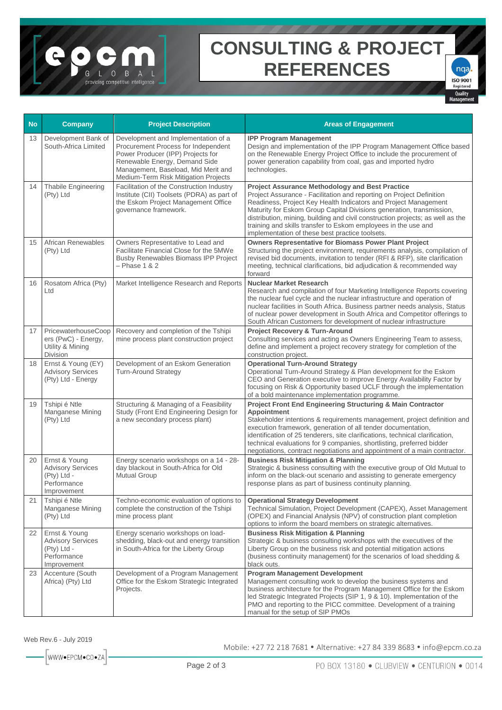## **CONSULTING & PROJECT REFERENCES**

**ISO 9001** Registered Quality

 $nqa$ 

| <b>No</b> | <b>Company</b>                                                                         | <b>Project Description</b>                                                                                                                                                                                                      | <b>Areas of Engagement</b>                                                                                                                                                                                                                                                                                                                                                                                                                                                       |
|-----------|----------------------------------------------------------------------------------------|---------------------------------------------------------------------------------------------------------------------------------------------------------------------------------------------------------------------------------|----------------------------------------------------------------------------------------------------------------------------------------------------------------------------------------------------------------------------------------------------------------------------------------------------------------------------------------------------------------------------------------------------------------------------------------------------------------------------------|
| 13        | Development Bank of<br>South-Africa Limited                                            | Development and Implementation of a<br>Procurement Process for Independent<br>Power Producer (IPP) Projects for<br>Renewable Energy, Demand Side<br>Management, Baseload, Mid Merit and<br>Medium-Term Risk Mitigation Projects | <b>IPP Program Management</b><br>Design and implementation of the IPP Program Management Office based<br>on the Renewable Energy Project Office to include the procurement of<br>power generation capability from coal, gas and imported hydro<br>technologies.                                                                                                                                                                                                                  |
| 14        | Thabile Engineering<br>(Pty) Ltd                                                       | Facilitation of the Construction Industry<br>Institute (CII) Toolsets (PDRA) as part of<br>the Eskom Project Management Office<br>governance framework.                                                                         | <b>Project Assurance Methodology and Best Practice</b><br>Project Assurance - Facilitation and reporting on Project Definition<br>Readiness, Project Key Health Indicators and Project Management<br>Maturity for Eskom Group Capital Divisions generation, transmission,<br>distribution, mining, building and civil construction projects; as well as the<br>training and skills transfer to Eskom employees in the use and<br>implementation of these best practice toolsets. |
| 15        | <b>African Renewables</b><br>(Pty) Ltd                                                 | Owners Representative to Lead and<br>Facilitate Financial Close for the 5MWe<br><b>Busby Renewables Biomass IPP Project</b><br>$-$ Phase 1 & 2                                                                                  | <b>Owners Representative for Biomass Power Plant Project</b><br>Structuring the project environment, requirements analysis, compilation of<br>revised bid documents, invitation to tender (RFI & RFP), site clarification<br>meeting, technical clarifications, bid adjudication & recommended way<br>forward                                                                                                                                                                    |
| 16        | Rosatom Africa (Pty)<br>Ltd                                                            | Market Intelligence Research and Reports                                                                                                                                                                                        | <b>Nuclear Market Research</b><br>Research and compilation of four Marketing Intelligence Reports covering<br>the nuclear fuel cycle and the nuclear infrastructure and operation of<br>nuclear facilities in South Africa. Business partner needs analysis, Status<br>of nuclear power development in South Africa and Competitor offerings to<br>South African Customers for development of nuclear infrastructure                                                             |
|           | 17 PricewaterhouseCoop<br>ers (PwC) - Energy,<br>Utility & Mining<br>Division          | Recovery and completion of the Tshipi<br>mine process plant construction project                                                                                                                                                | <b>Project Recovery &amp; Turn-Around</b><br>Consulting services and acting as Owners Engineering Team to assess,<br>define and implement a project recovery strategy for completion of the<br>construction project.                                                                                                                                                                                                                                                             |
| 18        | Ernst & Young (EY)<br><b>Advisory Services</b><br>(Pty) Ltd - Energy                   | Development of an Eskom Generation<br><b>Turn-Around Strategy</b>                                                                                                                                                               | <b>Operational Turn-Around Strategy</b><br>Operational Turn-Around Strategy & Plan development for the Eskom<br>CEO and Generation executive to improve Energy Availability Factor by<br>focusing on Risk & Opportunity based UCLF through the implementation<br>of a bold maintenance implementation programme.                                                                                                                                                                 |
| 19        | Tshipi é Ntle<br><b>Manganese Mining</b><br>(Pty) Ltd                                  | Structuring & Managing of a Feasibility<br>Study (Front End Engineering Design for<br>a new secondary process plant)                                                                                                            | <b>Project Front End Engineering Structuring &amp; Main Contractor</b><br>Appointment<br>Stakeholder intentions & requirements management, project definition and<br>execution framework, generation of all tender documentation,<br>identification of 25 tenderers, site clarifications, technical clarification,<br>technical evaluations for 9 companies, shortlisting, preferred bidder<br>negotiations, contract negotiations and appointment of a main contractor.         |
| 20        | Ernst & Young<br><b>Advisory Services</b><br>(Pty) Ltd -<br>Performance<br>Improvement | Energy scenario workshops on a 14 - 28-<br>day blackout in South-Africa for Old<br><b>Mutual Group</b>                                                                                                                          | <b>Business Risk Mitigation &amp; Planning</b><br>Strategic & business consulting with the executive group of Old Mutual to<br>inform on the black-out scenario and assisting to generate emergency<br>response plans as part of business continuity planning.                                                                                                                                                                                                                   |
| 21        | Tshipi é Ntle<br>Manganese Mining<br>(Pty) Ltd                                         | Techno-economic evaluation of options to<br>complete the construction of the Tshipi<br>mine process plant                                                                                                                       | <b>Operational Strategy Development</b><br>Technical Simulation, Project Development (CAPEX), Asset Management<br>(OPEX) and Financial Analysis (NPV) of construction plant completion<br>options to inform the board members on strategic alternatives.                                                                                                                                                                                                                         |
| 22        | Ernst & Young<br><b>Advisory Services</b><br>(Pty) Ltd -<br>Performance<br>Improvement | Energy scenario workshops on load-<br>shedding, black-out and energy transition<br>in South-Africa for the Liberty Group                                                                                                        | <b>Business Risk Mitigation &amp; Planning</b><br>Strategic & business consulting workshops with the executives of the<br>Liberty Group on the business risk and potential mitigation actions<br>(business continuity management) for the scenarios of load shedding &<br>black outs.                                                                                                                                                                                            |
| 23        | Accenture (South<br>Africa) (Pty) Ltd                                                  | Development of a Program Management<br>Office for the Eskom Strategic Integrated<br>Projects.                                                                                                                                   | <b>Program Management Development</b><br>Management consulting work to develop the business systems and<br>business architecture for the Program Management Office for the Eskom<br>led Strategic Integrated Projects (SIP 1, 9 & 10). Implementation of the<br>PMO and reporting to the PICC committee. Development of a training<br>manual for the setup of SIP PMOs                                                                                                           |

Mobile: +27 72 218 7681 · Alternative: +27 84 339 8683 · info@epcm.co.za

en

 $O$  B

viding competitive intelligence